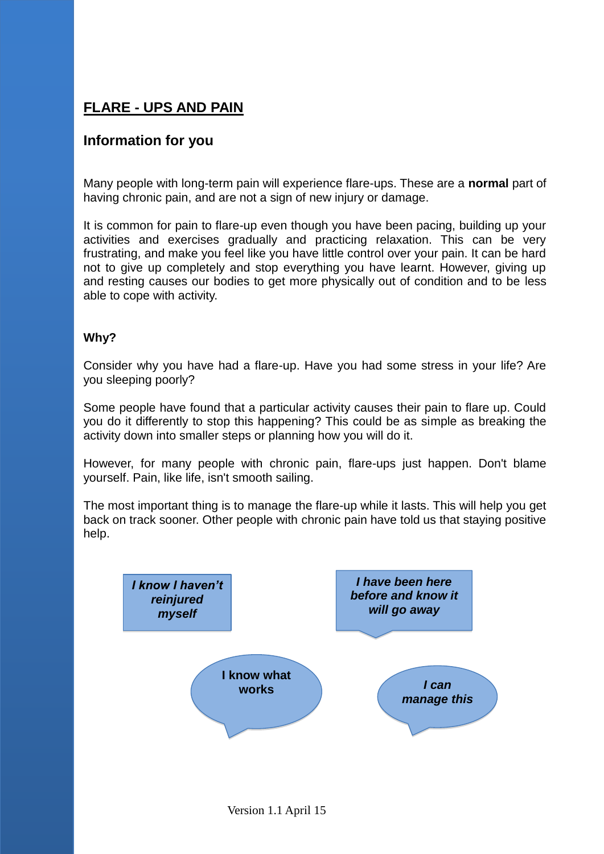## **FLARE - UPS AND PAIN**

## **Information for you**

Many people with long-term pain will experience flare-ups. These are a **normal** part of having chronic pain, and are not a sign of new injury or damage.

It is common for pain to flare-up even though you have been pacing, building up your activities and exercises gradually and practicing relaxation. This can be very frustrating, and make you feel like you have little control over your pain. It can be hard not to give up completely and stop everything you have learnt. However, giving up and resting causes our bodies to get more physically out of condition and to be less able to cope with activity.

## **Why?**

Consider why you have had a flare-up. Have you had some stress in your life? Are you sleeping poorly?

Some people have found that a particular activity causes their pain to flare up. Could you do it differently to stop this happening? This could be as simple as breaking the activity down into smaller steps or planning how you will do it.

However, for many people with chronic pain, flare-ups just happen. Don't blame yourself. Pain, like life, isn't smooth sailing.

The most important thing is to manage the flare-up while it lasts. This will help you get back on track sooner. Other people with chronic pain have told us that staying positive help.